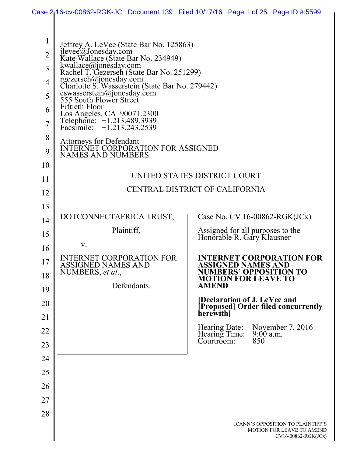|                |                                                                                                                                                 | Case 2i16-cv-00862-RGK-JC Document 139 Filed 10/17/16 Page 1 of 25 Page ID #:5599            |
|----------------|-------------------------------------------------------------------------------------------------------------------------------------------------|----------------------------------------------------------------------------------------------|
|                |                                                                                                                                                 |                                                                                              |
| $\mathbf{1}$   | Jeffrey A. LeVee (State Bar No. 125863)                                                                                                         |                                                                                              |
| $\overline{2}$ | jlevee@Jonesday.com<br>Kate Wallace (State Bar No. 234949)                                                                                      |                                                                                              |
| 3              | kwallace@jonesday.com<br>Rachel T. Gezerseh (State Bar No. 251299)<br>rgezerseh@jonesday.com<br>Charlotte S. Wasserstein (State Bar No. 279442) |                                                                                              |
| $\overline{4}$ |                                                                                                                                                 |                                                                                              |
| 5              | cswasserstein@jonesday.com<br>555 South Flower Street                                                                                           |                                                                                              |
| 6              | <b>Fiftieth Floor</b>                                                                                                                           |                                                                                              |
| $\overline{7}$ | Los Angeles, CA 90071.2300<br>Telephone: +1.213.489.3939<br>Facsimile: +1.213.243.2539                                                          |                                                                                              |
| 8              | Attorneys for Defendant<br>INTERNET CORPORATION FOR ASSIGNED                                                                                    |                                                                                              |
| 9              | <b>NAMES AND NUMBERS</b>                                                                                                                        |                                                                                              |
| 10             |                                                                                                                                                 | UNITED STATES DISTRICT COURT                                                                 |
| 11             |                                                                                                                                                 | CENTRAL DISTRICT OF CALIFORNIA                                                               |
| 12             |                                                                                                                                                 |                                                                                              |
| 13             | DOTCONNECTAFRICA TRUST,                                                                                                                         | Case No. CV $16-00862-RGK(JCx)$                                                              |
| 14             | Plaintiff,                                                                                                                                      |                                                                                              |
| 15             |                                                                                                                                                 | Assigned for all purposes to the<br>Honorable R. Gary Klausner                               |
| 16             | V.                                                                                                                                              |                                                                                              |
| 17             | <b>INTERNET CORPORATION FOR</b><br><b>ASSIGNED NAMES AND</b>                                                                                    | <b>INTERNET CORPORATION FOR</b><br><b>ASSIGNED NAMES AND</b>                                 |
| 18             | NUMBERS, et al.,<br>Defendants.                                                                                                                 | <b>NUMBERS' OPPOSITION TO</b><br><b>MOTION FOR LEAVE TO</b><br><b>AMEND</b>                  |
| 19             |                                                                                                                                                 | <b>[Declaration of J. LeVee and</b>                                                          |
| 20<br>21       |                                                                                                                                                 | <b>Proposed</b> Order filed concurrently<br>herewith                                         |
| 22             |                                                                                                                                                 | Hearing Date: November 7, 2016                                                               |
| 23             |                                                                                                                                                 | Hearing Time:<br>$9:00$ a.m.<br>850<br>Courtroom:                                            |
| 24             |                                                                                                                                                 |                                                                                              |
| 25             |                                                                                                                                                 |                                                                                              |
| 26             |                                                                                                                                                 |                                                                                              |
| 27             |                                                                                                                                                 |                                                                                              |
| 28             |                                                                                                                                                 |                                                                                              |
|                |                                                                                                                                                 | <b>ICANN'S OPPOSITION TO PLAINTIFF'S</b><br>MOTION FOR LEAVE TO AMEND<br>CV16-00862-RGK(JCx) |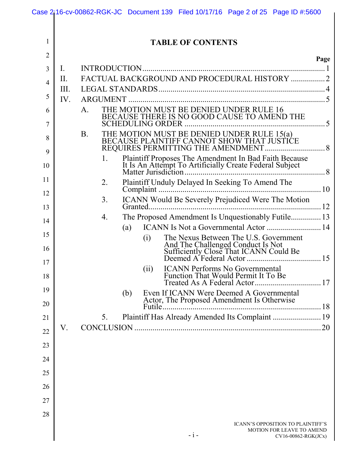| 1                   |      | <b>TABLE OF CONTENTS</b>                                                                                |      |
|---------------------|------|---------------------------------------------------------------------------------------------------------|------|
| $\overline{2}$      |      |                                                                                                         | Page |
| 3                   | I.   |                                                                                                         |      |
| $\overline{4}$      | Π.   | FACTUAL BACKGROUND AND PROCEDURAL HISTORY  2                                                            |      |
| 5                   | III. |                                                                                                         |      |
|                     | IV.  | THE MOTION MUST BE DENIED UNDER RULE 16<br>A.                                                           |      |
| 6<br>$\overline{7}$ |      | BECAUSE THERE IS NO GOOD CAUSE TO AMEND THE                                                             |      |
| 8                   |      | <b>B</b> .                                                                                              |      |
| 9                   |      | Plaintiff Proposes The Amendment In Bad Faith Because                                                   |      |
| 10                  |      |                                                                                                         |      |
| 11                  |      | Plaintiff Unduly Delayed In Seeking To Amend The<br>2.                                                  |      |
| 12                  |      | 3 <sub>1</sub><br><b>ICANN</b> Would Be Severely Prejudiced Were The Motion                             |      |
| 13                  |      |                                                                                                         |      |
| 14                  |      | The Proposed Amendment Is Unquestionably Futile 13<br>4.<br>ICANN Is Not a Governmental Actor  14       |      |
| 15                  |      | (a)<br>The Nexus Between The U.S. Government<br>(i)                                                     |      |
| 16                  |      |                                                                                                         |      |
| 17<br>18            |      | <b>ICANN Performs No Governmental</b><br>(ii)<br>Function That Would Permit It To Be                    |      |
|                     |      |                                                                                                         |      |
| 19<br>20            |      | Even If ICANN Were Deemed A Governmental<br>(b)<br>Actor, The Proposed Amendment Is Otherwise<br>Futile |      |
| 21                  |      | Plaintiff Has Already Amended Its Complaint  19<br>5.                                                   |      |
| 22                  | V.   |                                                                                                         |      |
| 23                  |      |                                                                                                         |      |
| 24                  |      |                                                                                                         |      |
| 25                  |      |                                                                                                         |      |
| 26                  |      |                                                                                                         |      |
| 27                  |      |                                                                                                         |      |
| 28                  |      |                                                                                                         |      |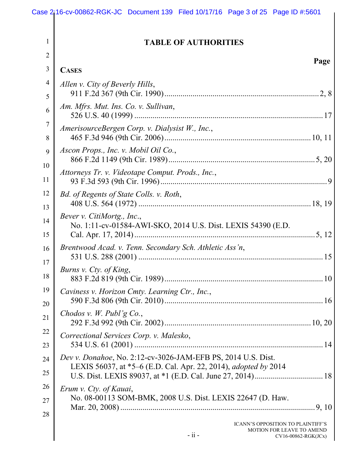2

### **TABLE OF AUTHORITIES**

| 3        | <b>CASES</b>                                                                                                                           |
|----------|----------------------------------------------------------------------------------------------------------------------------------------|
| 4<br>5   | Allen v. City of Beverly Hills,                                                                                                        |
| 6        | Am. Mfrs. Mut. Ins. Co. v. Sullivan,                                                                                                   |
| 7<br>8   | AmerisourceBergen Corp. v. Dialysist W., Inc.,                                                                                         |
| 9        | Ascon Props., Inc. v. Mobil Oil Co.,                                                                                                   |
| 10<br>11 | Attorneys Tr. v. Videotape Comput. Prods., Inc.,                                                                                       |
| 12<br>13 | Bd. of Regents of State Colls. v. Roth,                                                                                                |
| 14<br>15 | Bever v. CitiMortg., Inc.,<br>No. 1:11-cv-01584-AWI-SKO, 2014 U.S. Dist. LEXIS 54390 (E.D.                                             |
| 16<br>17 | Brentwood Acad. v. Tenn. Secondary Sch. Athletic Ass'n,                                                                                |
| 18       | Burns v. Cty. of King,                                                                                                                 |
| 19<br>20 | Caviness v. Horizon Cmty. Learning Ctr., Inc.,                                                                                         |
| 21       | Chodos v. W. Publ'g Co.,                                                                                                               |
| 22<br>23 | Correctional Services Corp. v. Malesko,                                                                                                |
| 24<br>25 | Dev v. Donahoe, No. 2:12-cv-3026-JAM-EFB PS, 2014 U.S. Dist.<br>LEXIS 56037, at *5–6 (E.D. Cal. Apr. 22, 2014), <i>adopted by</i> 2014 |
| 26<br>27 | Erum v. Cty. of Kauai,<br>No. 08-00113 SOM-BMK, 2008 U.S. Dist. LEXIS 22647 (D. Haw.                                                   |
| 28       | ICANN'S OPPOSITION TO PLAINTIFF'S<br>MOTION FOR LEAVE TO AMEND<br>$-ii -$<br>CV16-00862-RGK(JCx)                                       |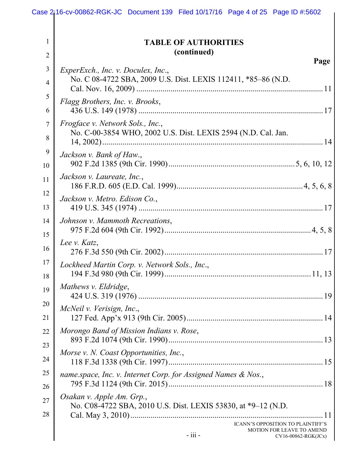|                                  | Case 2i <sub>1</sub> 16-cv-00862-RGK-JC Document 139 Filed 10/17/16 Page 4 of 25 Page ID #:5602             |
|----------------------------------|-------------------------------------------------------------------------------------------------------------|
| 1<br>$\overline{2}$              | <b>TABLE OF AUTHORITIES</b><br>(continued)                                                                  |
| $\mathfrak{Z}$<br>$\overline{4}$ | Page<br>ExperExch., Inc. v. Doculex, Inc.,<br>No. C 08-4722 SBA, 2009 U.S. Dist. LEXIS 112411, *85–86 (N.D. |
| 5<br>6                           | Flagg Brothers, Inc. v. Brooks,                                                                             |
| 7<br>8                           | Frogface v. Network Sols., Inc.,<br>No. C-00-3854 WHO, 2002 U.S. Dist. LEXIS 2594 (N.D. Cal. Jan.           |
| 9<br>10                          | Jackson v. Bank of Haw.,<br>Jackson v. Laureate, Inc.,                                                      |
| 11<br>12<br>13                   | Jackson v. Metro. Edison Co.,                                                                               |
| 14<br>15                         | Johnson v. Mammoth Recreations,                                                                             |
| 16<br>17                         | Lee v. Katz,<br>Lockheed Martin Corp. v. Network Sols., Inc.,                                               |
| 18<br>19                         | Mathews v. Eldridge,                                                                                        |
| 20<br>21                         | McNeil v. Verisign, Inc.,                                                                                   |
| 22<br>23                         | Morongo Band of Mission Indians v. Rose,<br>Morse v. N. Coast Opportunities, Inc.,                          |
| 24<br>25                         | name.space, Inc. v. Internet Corp. for Assigned Names & Nos.,                                               |
| 26<br>27<br>28                   | Osakan v. Apple Am. Grp.,<br>No. C08-4722 SBA, 2010 U.S. Dist. LEXIS 53830, at *9-12 (N.D.<br>11            |
|                                  | ICANN'S OPPOSITION TO PLAINTIFF'S<br>MOTION FOR LEAVE TO AMEND<br>- iii -<br>CV16-00862-RGK(JCx)            |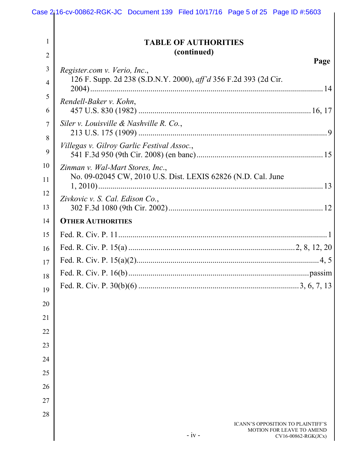|                     | Case $2$ <sub>i</sub> 16-cv-00862-RGK-JC Document 139 Filed 10/17/16 Page 5 of 25 Page ID #:5603        |      |
|---------------------|---------------------------------------------------------------------------------------------------------|------|
| 1<br>$\overline{2}$ | <b>TABLE OF AUTHORITIES</b><br>(continued)                                                              |      |
| 3                   |                                                                                                         | Page |
| $\overline{4}$      | Register.com v. Verio, Inc.,<br>126 F. Supp. 2d 238 (S.D.N.Y. 2000), aff'd 356 F.2d 393 (2d Cir.        |      |
| 5                   | Rendell-Baker v. Kohn,                                                                                  |      |
| 6                   |                                                                                                         |      |
| 7<br>8              | Siler v. Louisville & Nashville R. Co.,                                                                 |      |
| 9                   | Villegas v. Gilroy Garlic Festival Assoc.,                                                              |      |
| 10                  | Zinman v. Wal-Mart Stores, Inc.,                                                                        |      |
| 11                  | No. 09-02045 CW, 2010 U.S. Dist. LEXIS 62826 (N.D. Cal. June                                            |      |
| 12                  | Zivkovic v. S. Cal. Edison Co.,                                                                         |      |
| 13                  |                                                                                                         |      |
| 14                  | <b>OTHER AUTHORITIES</b>                                                                                |      |
| 15                  |                                                                                                         |      |
| 16                  |                                                                                                         |      |
| 17                  |                                                                                                         |      |
| 18                  |                                                                                                         |      |
| 19                  |                                                                                                         |      |
| 20                  |                                                                                                         |      |
| 21                  |                                                                                                         |      |
| 22                  |                                                                                                         |      |
| 23                  |                                                                                                         |      |
| 24                  |                                                                                                         |      |
| 25                  |                                                                                                         |      |
| 26                  |                                                                                                         |      |
| 27                  |                                                                                                         |      |
| 28                  |                                                                                                         |      |
|                     | <b>ICANN'S OPPOSITION TO PLAINTIFF'S</b><br>MOTION FOR LEAVE TO AMEND<br>$-iv -$<br>CV16-00862-RGK(JCx) |      |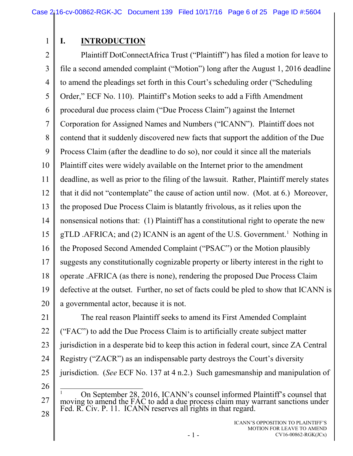# **I. INTRODUCTION**

2 3 4 5 6 7 8 9 10 11 12 13 14 15 16 17 18 19 20 Plaintiff DotConnectAfrica Trust ("Plaintiff") has filed a motion for leave to file a second amended complaint ("Motion") long after the August 1, 2016 deadline to amend the pleadings set forth in this Court's scheduling order ("Scheduling Order," ECF No. 110). Plaintiff's Motion seeks to add a Fifth Amendment procedural due process claim ("Due Process Claim") against the Internet Corporation for Assigned Names and Numbers ("ICANN"). Plaintiff does not contend that it suddenly discovered new facts that support the addition of the Due Process Claim (after the deadline to do so), nor could it since all the materials Plaintiff cites were widely available on the Internet prior to the amendment deadline, as well as prior to the filing of the lawsuit. Rather, Plaintiff merely states that it did not "contemplate" the cause of action until now. (Mot. at 6.) Moreover, the proposed Due Process Claim is blatantly frivolous, as it relies upon the nonsensical notions that: (1) Plaintiff has a constitutional right to operate the new gTLD .AFRICA; and (2) ICANN is an agent of the U.S. Government.<sup>[1](#page-5-1)</sup> Nothing in the Proposed Second Amended Complaint ("PSAC") or the Motion plausibly suggests any constitutionally cognizable property or liberty interest in the right to operate .AFRICA (as there is none), rendering the proposed Due Process Claim defective at the outset. Further, no set of facts could be pled to show that ICANN is a governmental actor, because it is not.

21 22 23 24 25 The real reason Plaintiff seeks to amend its First Amended Complaint ("FAC") to add the Due Process Claim is to artificially create subject matter jurisdiction in a desperate bid to keep this action in federal court, since ZA Central Registry ("ZACR") as an indispensable party destroys the Court's diversity jurisdiction. (*See* ECF No. 137 at 4 n.2.) Such gamesmanship and manipulation of

26

<span id="page-5-1"></span>27

<span id="page-5-0"></span><sup>&</sup>lt;sup>1</sup> On September 28, 2016, ICANN's counsel informed Plaintiff's counsel that moving to amend the FAC to add a due process claim may warrant sanctions under Fed. R. Civ. P. 11. ICANN reserves all rights in that regard.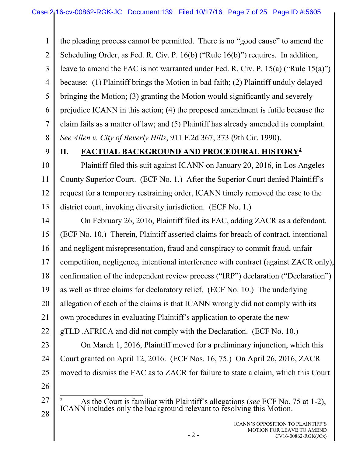<span id="page-6-2"></span><span id="page-6-1"></span>1 2 3 4 5 6 7 8 the pleading process cannot be permitted. There is no "good cause" to amend the Scheduling Order, as Fed. R. Civ. P. 16(b) ("Rule 16(b)") requires. In addition, leave to amend the FAC is not warranted under Fed. R. Civ. P. 15(a) ("Rule 15(a)") because: (1) Plaintiff brings the Motion in bad faith; (2) Plaintiff unduly delayed bringing the Motion; (3) granting the Motion would significantly and severely prejudice ICANN in this action; (4) the proposed amendment is futile because the claim fails as a matter of law; and (5) Plaintiff has already amended its complaint. *See Allen v. City of Beverly Hills*, 911 F.2d 367, 373 (9th Cir. 1990).

9

### <span id="page-6-0"></span>**II. FACTUAL BACKGROUND AND PROCEDURAL HISTORY[2](#page-6-3)**

10 11 12 13 Plaintiff filed this suit against ICANN on January 20, 2016, in Los Angeles County Superior Court. (ECF No. 1.) After the Superior Court denied Plaintiff's request for a temporary restraining order, ICANN timely removed the case to the district court, invoking diversity jurisdiction. (ECF No. 1.)

14 15 16 17 18 19 20 21 22 23 On February 26, 2016, Plaintiff filed its FAC, adding ZACR as a defendant. (ECF No. 10.) Therein, Plaintiff asserted claims for breach of contract, intentional and negligent misrepresentation, fraud and conspiracy to commit fraud, unfair competition, negligence, intentional interference with contract (against ZACR only), confirmation of the independent review process ("IRP") declaration ("Declaration") as well as three claims for declaratory relief. (ECF No. 10.) The underlying allegation of each of the claims is that ICANN wrongly did not comply with its own procedures in evaluating Plaintiff's application to operate the new gTLD .AFRICA and did not comply with the Declaration. (ECF No. 10.) On March 1, 2016, Plaintiff moved for a preliminary injunction, which this

24 25 Court granted on April 12, 2016. (ECF Nos. 16, 75.) On April 26, 2016, ZACR moved to dismiss the FAC as to ZACR for failure to state a claim, which this Court

26

<span id="page-6-3"></span>27

<sup>2</sup> As the Court is familiar with Plaintiff's allegations (*see* ECF No. 75 at 1-2), ICANN includes only the background relevant to resolving this Motion.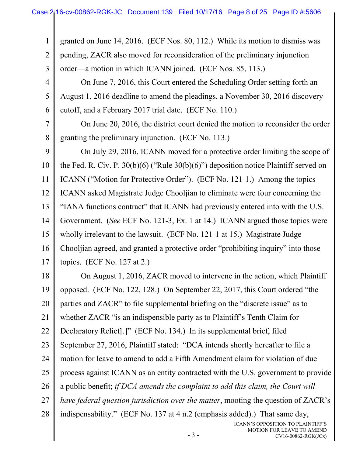1 2 3 granted on June 14, 2016. (ECF Nos. 80, 112.) While its motion to dismiss was pending, ZACR also moved for reconsideration of the preliminary injunction order—a motion in which ICANN joined. (ECF Nos. 85, 113.)

4 5 6 On June 7, 2016, this Court entered the Scheduling Order setting forth an August 1, 2016 deadline to amend the pleadings, a November 30, 2016 discovery cutoff, and a February 2017 trial date. (ECF No. 110.)

7 8 On June 20, 2016, the district court denied the motion to reconsider the order granting the preliminary injunction. (ECF No. 113.)

<span id="page-7-0"></span>9 10 11 12 13 14 15 16 17 On July 29, 2016, ICANN moved for a protective order limiting the scope of the Fed. R. Civ. P. 30(b)(6) ("Rule 30(b)(6)") deposition notice Plaintiff served on ICANN ("Motion for Protective Order"). (ECF No. 121-1.) Among the topics ICANN asked Magistrate Judge Chooljian to eliminate were four concerning the "IANA functions contract" that ICANN had previously entered into with the U.S. Government. (*See* ECF No. 121-3, Ex. 1 at 14.) ICANN argued those topics were wholly irrelevant to the lawsuit. (ECF No. 121-1 at 15.) Magistrate Judge Chooljian agreed, and granted a protective order "prohibiting inquiry" into those topics. (ECF No. 127 at 2.)

18 19 20 21 22 23 24 25 26 27 28 On August 1, 2016, ZACR moved to intervene in the action, which Plaintiff opposed. (ECF No. 122, 128.) On September 22, 2017, this Court ordered "the parties and ZACR" to file supplemental briefing on the "discrete issue" as to whether ZACR "is an indispensible party as to Plaintiff's Tenth Claim for Declaratory Relief[.]" (ECF No. 134.) In its supplemental brief, filed September 27, 2016, Plaintiff stated: "DCA intends shortly hereafter to file a motion for leave to amend to add a Fifth Amendment claim for violation of due process against ICANN as an entity contracted with the U.S. government to provide a public benefit; *if DCA amends the complaint to add this claim, the Court will have federal question jurisdiction over the matter*, mooting the question of ZACR's indispensability." (ECF No. 137 at 4 n.2 (emphasis added).) That same day,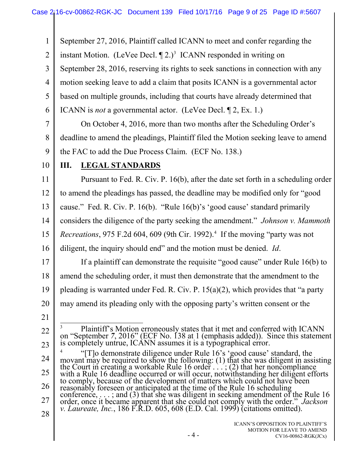<span id="page-8-4"></span><span id="page-8-3"></span><span id="page-8-2"></span><span id="page-8-1"></span><span id="page-8-0"></span>1 2 3 4 5 6 7 8 9 10 11 12 13 14 15 16 17 18 19 20 21 22 23 24 25 26 27 28 September 27, 2016, Plaintiff called ICANN to meet and confer regarding the instant Motion. (LeVee Decl.  $\P$  2.)<sup>3</sup> ICANN responded in writing on September 28, 2016, reserving its rights to seek sanctions in connection with any motion seeking leave to add a claim that posits ICANN is a governmental actor based on multiple grounds, including that courts have already determined that ICANN is *not* a governmental actor. (LeVee Decl. ¶ 2, Ex. 1.) On October 4, 2016, more than two months after the Scheduling Order's deadline to amend the pleadings, Plaintiff filed the Motion seeking leave to amend the FAC to add the Due Process Claim. (ECF No. 138.) **III. LEGAL STANDARDS** Pursuant to Fed. R. Civ. P. 16(b), after the date set forth in a scheduling order to amend the pleadings has passed, the deadline may be modified only for "good cause." Fed. R. Civ. P. 16(b). "Rule 16(b)'s 'good cause' standard primarily considers the diligence of the party seeking the amendment." *Johnson v. Mammoth Recreations*, 975 F.2d 60[4](#page-8-4), 609 (9th Cir. 1992).<sup>4</sup> If the moving "party was not diligent, the inquiry should end" and the motion must be denied. *Id*. If a plaintiff can demonstrate the requisite "good cause" under Rule 16(b) to amend the scheduling order, it must then demonstrate that the amendment to the pleading is warranted under Fed. R. Civ. P. 15(a)(2), which provides that "a party may amend its pleading only with the opposing party's written consent or the <sup>3</sup> Plaintiff's Motion erroneously states that it met and conferred with ICANN on "September 7, 2016" (ECF No. 138 at 1 (emphasis added)). Since this statement is completely untrue, ICANN assumes it is a typographical err <sup>4</sup> "[T]o demonstrate diligence under Rule 16's 'good cause' standard, the movant may be required to show the following: (1) that she was diligent in assisting the Court in creating a workable Rule 16 order . . . ; (2) that her noncompliance with a Rule 16 deadline occurred or will occur, notwithstanding her diligent efforts to comply, because of the development of matters which could not have been<br>reasonably foreseen or anticipated at the time of the Rule 16 scheduling reasonably foreseen or anticipated at the time of the Rule 16 scheduling conference, . . . ; and (3) that she was diligent in seeking amendment of the Rule 16 order, once it became apparent that she could not comply with the order." *Jackson v. Laureate, Inc.*, 186 F.R.D. 605, 608 (E.D. Cal. 1999) (citations omitted).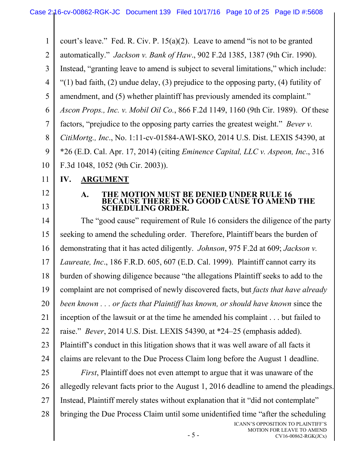<span id="page-9-5"></span><span id="page-9-2"></span><span id="page-9-0"></span>1 2 3 4 5 6 7 8 9 10 11 court's leave." Fed. R. Civ. P. 15(a)(2). Leave to amend "is not to be granted automatically." *Jackson v. Bank of Haw*., 902 F.2d 1385, 1387 (9th Cir. 1990). Instead, "granting leave to amend is subject to several limitations," which include: "(1) bad faith, (2) undue delay, (3) prejudice to the opposing party, (4) futility of amendment, and (5) whether plaintiff has previously amended its complaint." *Ascon Props., Inc. v. Mobil Oil Co.*, 866 F.2d 1149, 1160 (9th Cir. 1989). Of these factors, "prejudice to the opposing party carries the greatest weight." *Bever v. CitiMortg., Inc*., No. 1:11-cv-01584-AWI-SKO, 2014 U.S. Dist. LEXIS 54390, at \*26 (E.D. Cal. Apr. 17, 2014) (citing *Eminence Capital, LLC v. Aspeon, Inc*., 316 F.3d 1048, 1052 (9th Cir. 2003)). **IV. ARGUMENT**

12 13

#### <span id="page-9-4"></span><span id="page-9-3"></span><span id="page-9-1"></span>**A. THE MOTION MUST BE DENIED UNDER RULE 16 BECAUSE THERE IS NO GOOD CAUSE TO AMEND THE SCHEDULING ORDER.**

14 15 16 17 18 19 20 21 22 23 24 25 26 The "good cause" requirement of Rule 16 considers the diligence of the party seeking to amend the scheduling order. Therefore, Plaintiff bears the burden of demonstrating that it has acted diligently. *Johnson*, 975 F.2d at 609; *Jackson v. Laureate, Inc*., 186 F.R.D. 605, 607 (E.D. Cal. 1999). Plaintiff cannot carry its burden of showing diligence because "the allegations Plaintiff seeks to add to the complaint are not comprised of newly discovered facts, but *facts that have already been known . . . or facts that Plaintiff has known, or should have known* since the inception of the lawsuit or at the time he amended his complaint . . . but failed to raise." *Bever*, 2014 U.S. Dist. LEXIS 54390, at \*24–25 (emphasis added). Plaintiff's conduct in this litigation shows that it was well aware of all facts it claims are relevant to the Due Process Claim long before the August 1 deadline. *First*, Plaintiff does not even attempt to argue that it was unaware of the allegedly relevant facts prior to the August 1, 2016 deadline to amend the pleadings.

- 27 Instead, Plaintiff merely states without explanation that it "did not contemplate"
- 28 bringing the Due Process Claim until some unidentified time "after the scheduling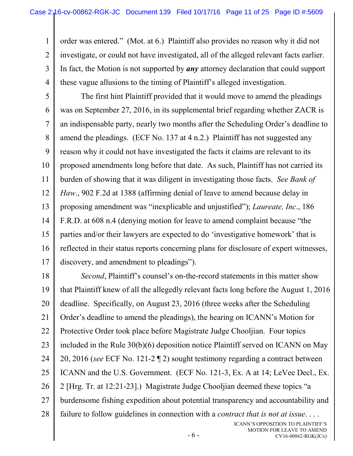1 2 3 4 order was entered." (Mot. at 6.) Plaintiff also provides no reason why it did not investigate, or could not have investigated, all of the alleged relevant facts earlier. In fact, the Motion is not supported by *any* attorney declaration that could support these vague allusions to the timing of Plaintiff's alleged investigation.

<span id="page-10-0"></span>5 6 7 8 9 10 11 12 13 14 15 16 17 The first hint Plaintiff provided that it would move to amend the pleadings was on September 27, 2016, in its supplemental brief regarding whether ZACR is an indispensable party, nearly two months after the Scheduling Order's deadline to amend the pleadings. (ECF No. 137 at 4 n.2.) Plaintiff has not suggested any reason why it could not have investigated the facts it claims are relevant to its proposed amendments long before that date. As such, Plaintiff has not carried its burden of showing that it was diligent in investigating those facts. *See Bank of Haw*., 902 F.2d at 1388 (affirming denial of leave to amend because delay in proposing amendment was "inexplicable and unjustified"); *Laureate, Inc*., 186 F.R.D. at 608 n.4 (denying motion for leave to amend complaint because "the parties and/or their lawyers are expected to do 'investigative homework' that is reflected in their status reports concerning plans for disclosure of expert witnesses, discovery, and amendment to pleadings").

<span id="page-10-2"></span><span id="page-10-1"></span>18 19 20 21 22 23 24 25 26 27 28 *Second*, Plaintiff's counsel's on-the-record statements in this matter show that Plaintiff knew of all the allegedly relevant facts long before the August 1, 2016 deadline. Specifically, on August 23, 2016 (three weeks after the Scheduling Order's deadline to amend the pleadings), the hearing on ICANN's Motion for Protective Order took place before Magistrate Judge Chooljian. Four topics included in the Rule 30(b)(6) deposition notice Plaintiff served on ICANN on May 20, 2016 (*see* ECF No. 121-2 ¶ 2) sought testimony regarding a contract between ICANN and the U.S. Government. (ECF No. 121-3, Ex. A at 14; LeVee Decl., Ex. 2 [Hrg. Tr. at 12:21-23].) Magistrate Judge Chooljian deemed these topics "a burdensome fishing expedition about potential transparency and accountability and failure to follow guidelines in connection with a *contract that is not at issue*. . . .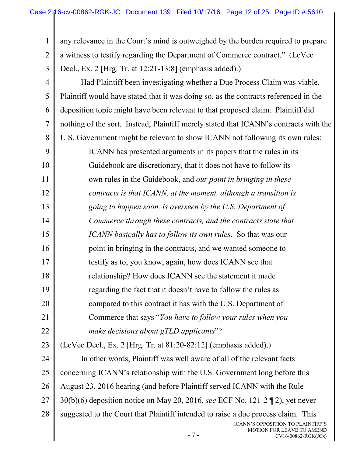1 2 3 any relevance in the Court's mind is outweighed by the burden required to prepare a witness to testify regarding the Department of Commerce contract." (LeVee Decl., Ex. 2 [Hrg. Tr. at 12:21-13:8] (emphasis added).)

<span id="page-11-0"></span>4 5 6 7 8 9 10 11 12 13 14 15 16 17 18 19 20 21 22 23 24 25 26 27 28 Had Plaintiff been investigating whether a Due Process Claim was viable, Plaintiff would have stated that it was doing so, as the contracts referenced in the deposition topic might have been relevant to that proposed claim. Plaintiff did nothing of the sort. Instead, Plaintiff merely stated that ICANN's contracts with the U.S. Government might be relevant to show ICANN not following its own rules: ICANN has presented arguments in its papers that the rules in its Guidebook are discretionary, that it does not have to follow its own rules in the Guidebook, and *our point in bringing in these contracts is that ICANN, at the moment, although a transition is going to happen soon, is overseen by the U.S. Department of Commerce through these contracts, and the contracts state that ICANN basically has to follow its own rules*. So that was our point in bringing in the contracts, and we wanted someone to testify as to, you know, again, how does ICANN see that relationship? How does ICANN see the statement it made regarding the fact that it doesn't have to follow the rules as compared to this contract it has with the U.S. Department of Commerce that says "*You have to follow your rules when you make decisions about gTLD applicants*"? (LeVee Decl., Ex. 2 [Hrg. Tr. at 81:20-82:12] (emphasis added).) In other words, Plaintiff was well aware of all of the relevant facts concerning ICANN's relationship with the U.S. Government long before this August 23, 2016 hearing (and before Plaintiff served ICANN with the Rule 30(b)(6) deposition notice on May 20, 2016, *see* ECF No. 121-2 ¶ 2), yet never suggested to the Court that Plaintiff intended to raise a due process claim. This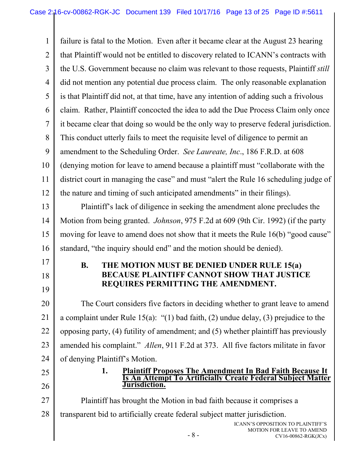<span id="page-12-3"></span><span id="page-12-2"></span><span id="page-12-1"></span><span id="page-12-0"></span>1 2 3 4 5 6 7 8 9 10 11 12 13 14 15 16 17 18 19 20 21 22 23 24 25 26 27 28 - 8 - ICANN'S OPPOSITION TO PLAINTIFF'S MOTION FOR LEAVE TO AMEND CV16-00862-RGK(JCx) failure is fatal to the Motion. Even after it became clear at the August 23 hearing that Plaintiff would not be entitled to discovery related to ICANN's contracts with the U.S. Government because no claim was relevant to those requests, Plaintiff *still* did not mention any potential due process claim. The only reasonable explanation is that Plaintiff did not, at that time, have any intention of adding such a frivolous claim. Rather, Plaintiff concocted the idea to add the Due Process Claim only once it became clear that doing so would be the only way to preserve federal jurisdiction. This conduct utterly fails to meet the requisite level of diligence to permit an amendment to the Scheduling Order. *See Laureate, Inc*., 186 F.R.D. at 608 (denying motion for leave to amend because a plaintiff must "collaborate with the district court in managing the case" and must "alert the Rule 16 scheduling judge of the nature and timing of such anticipated amendments" in their filings). Plaintiff's lack of diligence in seeking the amendment alone precludes the Motion from being granted. *Johnson*, 975 F.2d at 609 (9th Cir. 1992) (if the party moving for leave to amend does not show that it meets the Rule 16(b) "good cause" standard, "the inquiry should end" and the motion should be denied). **B. THE MOTION MUST BE DENIED UNDER RULE 15(a) BECAUSE PLAINTIFF CANNOT SHOW THAT JUSTICE REQUIRES PERMITTING THE AMENDMENT.** The Court considers five factors in deciding whether to grant leave to amend a complaint under Rule 15(a): "(1) bad faith, (2) undue delay, (3) prejudice to the opposing party, (4) futility of amendment; and (5) whether plaintiff has previously amended his complaint." *Allen*, 911 F.2d at 373. All five factors militate in favor of denying Plaintiff's Motion. **1. Plaintiff Proposes The Amendment In Bad Faith Because It Is An Attempt To Artificially Create Federal Subject Matter Jurisdiction.** Plaintiff has brought the Motion in bad faith because it comprises a transparent bid to artificially create federal subject matter jurisdiction.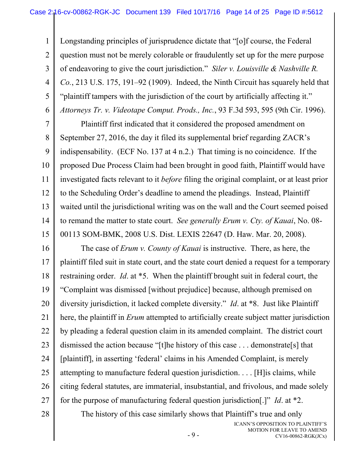3 4 6 Longstanding principles of jurisprudence dictate that "[o]f course, the Federal question must not be merely colorable or fraudulently set up for the mere purpose of endeavoring to give the court jurisdiction." *Siler v. Louisville & Nashville R. Co.*, 213 U.S. 175, 191–92 (1909). Indeed, the Ninth Circuit has squarely held that "plaintiff tampers with the jurisdiction of the court by artificially affecting it." *Attorneys Tr. v. Videotape Comput. Prods., Inc.*, 93 F.3d 593, 595 (9th Cir. 1996).

7 8 9 10 11 12 13 14 15 Plaintiff first indicated that it considered the proposed amendment on September 27, 2016, the day it filed its supplemental brief regarding ZACR's indispensability. (ECF No. 137 at 4 n.2.) That timing is no coincidence. If the proposed Due Process Claim had been brought in good faith, Plaintiff would have investigated facts relevant to it *before* filing the original complaint, or at least prior to the Scheduling Order's deadline to amend the pleadings. Instead, Plaintiff waited until the jurisdictional writing was on the wall and the Court seemed poised to remand the matter to state court. *See generally Erum v. Cty. of Kauai*, No. 08- 00113 SOM-BMK, 2008 U.S. Dist. LEXIS 22647 (D. Haw. Mar. 20, 2008).

<span id="page-13-1"></span>16 17 18 19 20 21 22 23 24 25 26 27 The case of *Erum v. County of Kauai* is instructive. There, as here, the plaintiff filed suit in state court, and the state court denied a request for a temporary restraining order. *Id*. at \*5. When the plaintiff brought suit in federal court, the "Complaint was dismissed [without prejudice] because, although premised on diversity jurisdiction, it lacked complete diversity." *Id*. at \*8. Just like Plaintiff here, the plaintiff in *Erum* attempted to artificially create subject matter jurisdiction by pleading a federal question claim in its amended complaint. The district court dismissed the action because "[t]he history of this case . . . demonstrate[s] that [plaintiff], in asserting 'federal' claims in his Amended Complaint, is merely attempting to manufacture federal question jurisdiction. . . . [H]is claims, while citing federal statutes, are immaterial, insubstantial, and frivolous, and made solely for the purpose of manufacturing federal question jurisdiction[.]" *Id*. at \*2.

28

1

<span id="page-13-2"></span>2

<span id="page-13-0"></span>5

The history of this case similarly shows that Plaintiff's true and only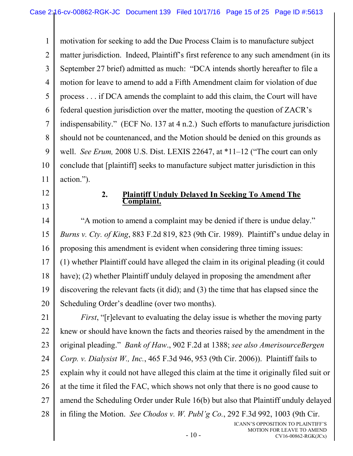1 2 3 4 5 6 7 8 9 10 11 motivation for seeking to add the Due Process Claim is to manufacture subject matter jurisdiction. Indeed, Plaintiff's first reference to any such amendment (in its September 27 brief) admitted as much: "DCA intends shortly hereafter to file a motion for leave to amend to add a Fifth Amendment claim for violation of due process . . . if DCA amends the complaint to add this claim, the Court will have federal question jurisdiction over the matter, mooting the question of ZACR's indispensability." (ECF No. 137 at 4 n.2.) Such efforts to manufacture jurisdiction should not be countenanced, and the Motion should be denied on this grounds as well. *See Erum,* 2008 U.S. Dist. LEXIS 22647, at \*11–12 ("The court can only conclude that [plaintiff] seeks to manufacture subject matter jurisdiction in this action.").

12

13

#### <span id="page-14-3"></span><span id="page-14-0"></span>**2. Plaintiff Unduly Delayed In Seeking To Amend The Complaint.**

<span id="page-14-1"></span>14 15 16 17 18 19 20 "A motion to amend a complaint may be denied if there is undue delay." *Burns v. Cty. of King*, 883 F.2d 819, 823 (9th Cir. 1989). Plaintiff's undue delay in proposing this amendment is evident when considering three timing issues: (1) whether Plaintiff could have alleged the claim in its original pleading (it could have); (2) whether Plaintiff unduly delayed in proposing the amendment after discovering the relevant facts (it did); and (3) the time that has elapsed since the Scheduling Order's deadline (over two months).

<span id="page-14-4"></span><span id="page-14-2"></span>21 22 23 24 25 26 27 28 *First*, "[r]elevant to evaluating the delay issue is whether the moving party knew or should have known the facts and theories raised by the amendment in the original pleading." *Bank of Haw*., 902 F.2d at 1388; *see also AmerisourceBergen Corp. v. Dialysist W., Inc.*, 465 F.3d 946, 953 (9th Cir. 2006)). Plaintiff fails to explain why it could not have alleged this claim at the time it originally filed suit or at the time it filed the FAC, which shows not only that there is no good cause to amend the Scheduling Order under Rule 16(b) but also that Plaintiff unduly delayed in filing the Motion. *See Chodos v. W. Publ'g Co.*, 292 F.3d 992, 1003 (9th Cir.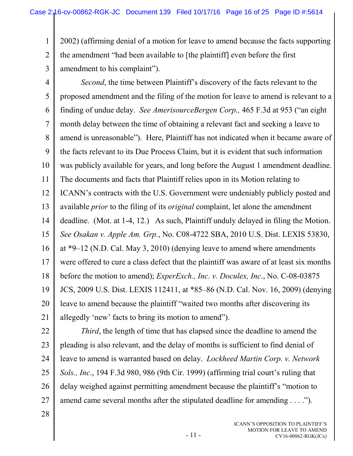1 2 2002) (affirming denial of a motion for leave to amend because the facts supporting the amendment "had been available to [the plaintiff] even before the first amendment to his complaint").

<span id="page-15-0"></span>3

4 5 6 7 8 9 10 11 12 13 14 15 16 17 18 19 20 21 *Second*, the time between Plaintiff's discovery of the facts relevant to the proposed amendment and the filing of the motion for leave to amend is relevant to a finding of undue delay. *See AmerisourceBergen Corp.,* 465 F.3d at 953 ("an eight month delay between the time of obtaining a relevant fact and seeking a leave to amend is unreasonable"). Here, Plaintiff has not indicated when it became aware of the facts relevant to its Due Process Claim, but it is evident that such information was publicly available for years, and long before the August 1 amendment deadline. The documents and facts that Plaintiff relies upon in its Motion relating to ICANN's contracts with the U.S. Government were undeniably publicly posted and available *prior* to the filing of its *original* complaint, let alone the amendment deadline. (Mot. at 1-4, 12.) As such, Plaintiff unduly delayed in filing the Motion. *See Osakan v. Apple Am. Grp.*, No. C08-4722 SBA, 2010 U.S. Dist. LEXIS 53830, at \*9–12 (N.D. Cal. May 3, 2010) (denying leave to amend where amendments were offered to cure a class defect that the plaintiff was aware of at least six months before the motion to amend); *ExperExch., Inc. v. Doculex, Inc*., No. C-08-03875 JCS, 2009 U.S. Dist. LEXIS 112411, at \*85–86 (N.D. Cal. Nov. 16, 2009) (denying leave to amend because the plaintiff "waited two months after discovering its allegedly 'new' facts to bring its motion to amend").

<span id="page-15-3"></span><span id="page-15-1"></span>22

<span id="page-15-2"></span>23 24 25 26 27 *Third*, the length of time that has elapsed since the deadline to amend the pleading is also relevant, and the delay of months is sufficient to find denial of leave to amend is warranted based on delay. *Lockheed Martin Corp. v. Network Sols., Inc*., 194 F.3d 980, 986 (9th Cir. 1999) (affirming trial court's ruling that delay weighed against permitting amendment because the plaintiff's "motion to amend came several months after the stipulated deadline for amending . . . .").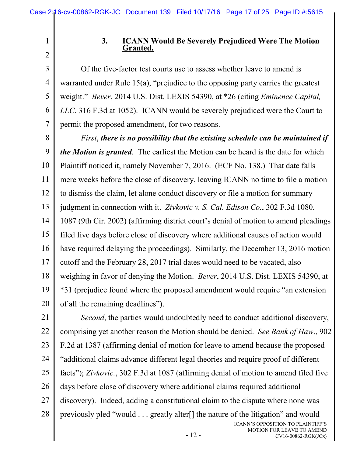4

5

6

7

1

#### <span id="page-16-3"></span>**3. ICANN Would Be Severely Prejudiced Were The Motion Granted.**

<span id="page-16-0"></span>Of the five-factor test courts use to assess whether leave to amend is warranted under Rule 15(a), "prejudice to the opposing party carries the greatest weight." *Bever*, 2014 U.S. Dist. LEXIS 54390, at \*26 (citing *Eminence Capital, LLC*, 316 F.3d at 1052). ICANN would be severely prejudiced were the Court to permit the proposed amendment, for two reasons.

<span id="page-16-2"></span>8 9 10 11 12 13 14 15 16 17 18 19 20 *First*, *there is no possibility that the existing schedule can be maintained if the Motion is granted*. The earliest the Motion can be heard is the date for which Plaintiff noticed it, namely November 7, 2016. (ECF No. 138.) That date falls mere weeks before the close of discovery, leaving ICANN no time to file a motion to dismiss the claim, let alone conduct discovery or file a motion for summary judgment in connection with it. *Zivkovic v. S. Cal. Edison Co.*, 302 F.3d 1080, 1087 (9th Cir. 2002) (affirming district court's denial of motion to amend pleadings filed five days before close of discovery where additional causes of action would have required delaying the proceedings). Similarly, the December 13, 2016 motion cutoff and the February 28, 2017 trial dates would need to be vacated, also weighing in favor of denying the Motion. *Bever*, 2014 U.S. Dist. LEXIS 54390, at \*31 (prejudice found where the proposed amendment would require "an extension of all the remaining deadlines").

21 22 23 24 25 26 27 28 ICANN'S OPPOSITION TO PLAINTIFF'S MOTION FOR LEAVE TO AMEND *Second*, the parties would undoubtedly need to conduct additional discovery, comprising yet another reason the Motion should be denied. *See Bank of Haw*., 902 F.2d at 1387 (affirming denial of motion for leave to amend because the proposed "additional claims advance different legal theories and require proof of different facts"); *Zivkovic.*, 302 F.3d at 1087 (affirming denial of motion to amend filed five days before close of discovery where additional claims required additional discovery). Indeed, adding a constitutional claim to the dispute where none was previously pled "would . . . greatly alter[] the nature of the litigation" and would

<span id="page-16-1"></span>CV16-00862-RGK(JCx)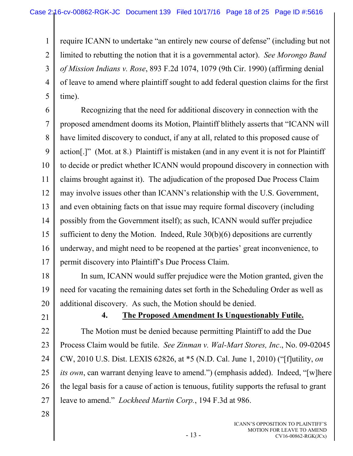<span id="page-17-1"></span>1 2 3 4 5 require ICANN to undertake "an entirely new course of defense" (including but not limited to rebutting the notion that it is a governmental actor). *See Morongo Band of Mission Indians v. Rose*, 893 F.2d 1074, 1079 (9th Cir. 1990) (affirming denial of leave to amend where plaintiff sought to add federal question claims for the first time).

6 7 8 9 10 11 12 13 14 15 16 17 Recognizing that the need for additional discovery in connection with the proposed amendment dooms its Motion, Plaintiff blithely asserts that "ICANN will have limited discovery to conduct, if any at all, related to this proposed cause of action[.]" (Mot. at 8.) Plaintiff is mistaken (and in any event it is not for Plaintiff to decide or predict whether ICANN would propound discovery in connection with claims brought against it). The adjudication of the proposed Due Process Claim may involve issues other than ICANN's relationship with the U.S. Government, and even obtaining facts on that issue may require formal discovery (including possibly from the Government itself); as such, ICANN would suffer prejudice sufficient to deny the Motion. Indeed, Rule 30(b)(6) depositions are currently underway, and might need to be reopened at the parties' great inconvenience, to permit discovery into Plaintiff's Due Process Claim.

18 19 20 In sum, ICANN would suffer prejudice were the Motion granted, given the need for vacating the remaining dates set forth in the Scheduling Order as well as additional discovery. As such, the Motion should be denied.

21

### <span id="page-17-3"></span><span id="page-17-2"></span><span id="page-17-0"></span>**4. The Proposed Amendment Is Unquestionably Futile.**

22 23 24 25 26 27 The Motion must be denied because permitting Plaintiff to add the Due Process Claim would be futile. *See Zinman v. Wal-Mart Stores, Inc*., No. 09-02045 CW, 2010 U.S. Dist. LEXIS 62826, at \*5 (N.D. Cal. June 1, 2010) ("[f]utility, *on its own*, can warrant denying leave to amend.") (emphasis added). Indeed, "[w]here the legal basis for a cause of action is tenuous, futility supports the refusal to grant leave to amend." *Lockheed Martin Corp.*, 194 F.3d at 986.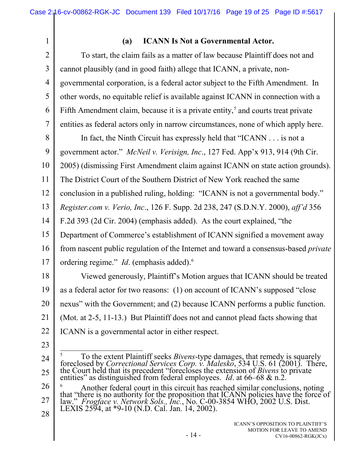4

5

6

<span id="page-18-2"></span>7

1

## **(a) ICANN Is Not a Governmental Actor.**

To start, the claim fails as a matter of law because Plaintiff does not and cannot plausibly (and in good faith) allege that ICANN, a private, nongovernmental corporation, is a federal actor subject to the Fifth Amendment. In other words, no equitable relief is available against ICANN in connection with a Fifth Amendment claim, because it is a private entity,<sup>[5](#page-18-4)</sup> and courts treat private entities as federal actors only in narrow circumstances, none of which apply here.

<span id="page-18-3"></span>8 9 10 11 12 13 14 15 16 17 18 19 20 In fact, the Ninth Circuit has expressly held that "ICANN . . . is not a government actor." *McNeil v. Verisign, Inc*., 127 Fed. App'x 913, 914 (9th Cir. 2005) (dismissing First Amendment claim against ICANN on state action grounds). The District Court of the Southern District of New York reached the same conclusion in a published ruling, holding: "ICANN is not a governmental body." *Register.com v. Verio, Inc*., 126 F. Supp. 2d 238, 247 (S.D.N.Y. 2000), *aff'd* 356 F.2d 393 (2d Cir. 2004) (emphasis added). As the court explained, "the Department of Commerce's establishment of ICANN signified a movement away from nascent public regulation of the Internet and toward a consensus-based *private* ordering regime." *Id*. (emphasis added).<sup>[6](#page-18-5)</sup> Viewed generously, Plaintiff's Motion argues that ICANN should be treated as a federal actor for two reasons: (1) on account of ICANN's supposed "close nexus" with the Government; and (2) because ICANN performs a public function.

21 (Mot. at 2-5, 11-13.) But Plaintiff does not and cannot plead facts showing that

- 22 ICANN is a governmental actor in either respect.
- 23
- 
- <span id="page-18-4"></span>24 25

<span id="page-18-0"></span><sup>&</sup>lt;sup>5</sup> To the extent Plaintiff seeks *Bivens*-type damages, that remedy is squarely foreclosed by *Correctional Services Corp. v. Malesko*, 534 U.S. 61 (2001). There, the Court held that its precedent "forecloses the extensi

<span id="page-18-5"></span><span id="page-18-1"></span><sup>26</sup> 27  $<sup>6</sup>$  Another federal court in this circuit has reached similar conclusions, noting that "there is no authority for the proposition that ICANN policies have the force of</sup> law." *Frogface v. Network Sols., Inc.*, No. C-00-3854 WHO, 2002 U.S. Dist.<br>LEXIS 2594, at \*9-10 (N.D. Cal. Jan. 14, 2002).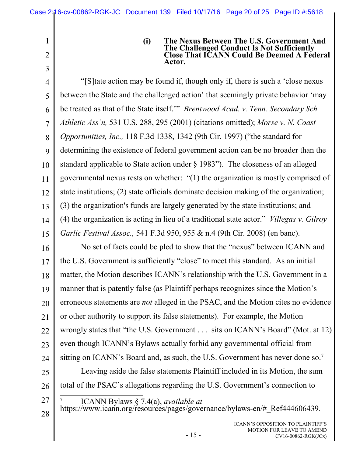2

3

<span id="page-19-3"></span>27

<span id="page-19-2"></span><span id="page-19-1"></span><span id="page-19-0"></span>**(i) The Nexus Between The U.S. Government And The Challenged Conduct Is Not Sufficiently Close That ICANN Could Be Deemed A Federal Actor.** 

4 5 6 7 8 9 10 11 12 13 14 15 "[S]tate action may be found if, though only if, there is such a 'close nexus between the State and the challenged action' that seemingly private behavior 'may be treated as that of the State itself.'" *Brentwood Acad. v. Tenn. Secondary Sch. Athletic Ass'n,* 531 U.S. 288, 295 (2001) (citations omitted); *Morse v. N. Coast Opportunities, Inc.,* 118 F.3d 1338, 1342 (9th Cir. 1997) ("the standard for determining the existence of federal government action can be no broader than the standard applicable to State action under § 1983"). The closeness of an alleged governmental nexus rests on whether: "(1) the organization is mostly comprised of state institutions; (2) state officials dominate decision making of the organization; (3) the organization's funds are largely generated by the state institutions; and (4) the organization is acting in lieu of a traditional state actor." *Villegas v. Gilroy Garlic Festival Assoc.,* 541 F.3d 950, 955 & n.4 (9th Cir. 2008) (en banc).

16 17 18 19 20 21 22 23 24 25 26 No set of facts could be pled to show that the "nexus" between ICANN and the U.S. Government is sufficiently "close" to meet this standard. As an initial matter, the Motion describes ICANN's relationship with the U.S. Government in a manner that is patently false (as Plaintiff perhaps recognizes since the Motion's erroneous statements are *not* alleged in the PSAC, and the Motion cites no evidence or other authority to support its false statements). For example, the Motion wrongly states that "the U.S. Government . . . sits on ICANN's Board" (Mot. at 12) even though ICANN's Bylaws actually forbid any governmental official from sitting on ICANN's Board and, as such, the U.S. Government has never done so.<sup>[7](#page-19-3)</sup> Leaving aside the false statements Plaintiff included in its Motion, the sum total of the PSAC's allegations regarding the U.S. Government's connection to

7 ICANN Bylaws § 7.4(a), *available at*

28 https://www.icann.org/resources/pages/governance/bylaws-en/#\_Ref444606439.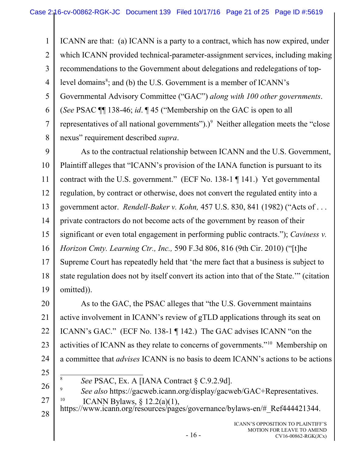1 2 3 4 5 6 7 8 9 10 11 12 13 14 15 ICANN are that: (a) ICANN is a party to a contract, which has now expired, under which ICANN provided technical-parameter-assignment services, including making recommendations to the Government about delegations and redelegations of top-level domains<sup>[8](#page-20-2)</sup>; and (b) the U.S. Government is a member of ICANN's Governmental Advisory Committee ("GAC") *along with 100 other governments*. (*See* PSAC ¶¶ 138-46; *id*. ¶ 45 ("Membership on the GAC is open to all representatives of all national governments" $)$ .)<sup>[9](#page-20-3)</sup> Neither allegation meets the "close" nexus" requirement described *supra*. As to the contractual relationship between ICANN and the U.S. Government, Plaintiff alleges that "ICANN's provision of the IANA function is pursuant to its contract with the U.S. government." (ECF No. 138-1 ¶ 141.) Yet governmental regulation, by contract or otherwise, does not convert the regulated entity into a government actor. *Rendell-Baker v. Kohn,* 457 U.S. 830, 841 (1982) ("Acts of . . . private contractors do not become acts of the government by reason of their significant or even total engagement in performing public contracts."); *Caviness v.* 

<span id="page-20-1"></span><span id="page-20-0"></span>16 *Horizon Cmty. Learning Ctr., Inc.,* 590 F.3d 806, 816 (9th Cir. 2010) ("[t]he

17 18 19 Supreme Court has repeatedly held that 'the mere fact that a business is subject to state regulation does not by itself convert its action into that of the State.'" (citation omitted)).

20 21 22 23 24 As to the GAC, the PSAC alleges that "the U.S. Government maintains active involvement in ICANN's review of gTLD applications through its seat on ICANN's GAC." (ECF No. 138-1 ¶ 142.) The GAC advises ICANN "on the activities of ICANN as they relate to concerns of governments."[10](#page-20-4) Membership on a committee that *advises* ICANN is no basis to deem ICANN's actions to be actions

25

- *See* PSAC, Ex. A [IANA Contract § C.9.2.9d].
- <span id="page-20-3"></span><span id="page-20-2"></span>26 27 <sup>9</sup> *See also* https://gacweb.icann.org/display/gacweb/GAC+Representatives. <sup>10</sup> ICANN Bylaws, § 12.2(a)(1),<br>https://www.icann.org/resources/pages/governance/bylaws-en/# Ref444421344.
- <span id="page-20-4"></span>28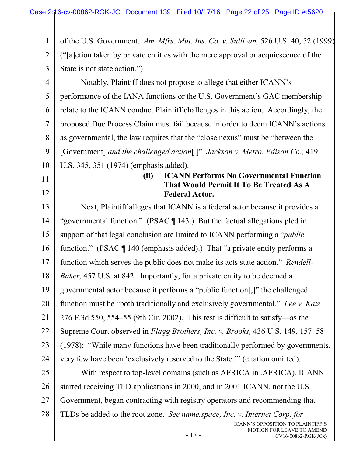<span id="page-21-2"></span><span id="page-21-0"></span>1 2 3 4 5 6 7 8 9 10 11 12 13 14 15 16 17 18 19 20 21 22 23 24 25 26 27 28 of the U.S. Government. *Am. Mfrs. Mut. Ins. Co. v. Sullivan,* 526 U.S. 40, 52 (1999) ("[a]ction taken by private entities with the mere approval or acquiescence of the State is not state action."). Notably, Plaintiff does not propose to allege that either ICANN's performance of the IANA functions or the U.S. Government's GAC membership relate to the ICANN conduct Plaintiff challenges in this action. Accordingly, the proposed Due Process Claim must fail because in order to deem ICANN's actions as governmental, the law requires that the "close nexus" must be "between the [Government] *and the challenged action*[.]" *Jackson v. Metro. Edison Co.,* 419 U.S. 345, 351 (1974) (emphasis added). **(ii) ICANN Performs No Governmental Function That Would Permit It To Be Treated As A Federal Actor.** Next, Plaintiff alleges that ICANN is a federal actor because it provides a "governmental function." (PSAC ¶ 143.) But the factual allegations pled in support of that legal conclusion are limited to ICANN performing a "*public* function." (PSAC ¶ 140 (emphasis added).) That "a private entity performs a function which serves the public does not make its acts state action." *Rendell-Baker,* 457 U.S. at 842. Importantly, for a private entity to be deemed a governmental actor because it performs a "public function[,]" the challenged function must be "both traditionally and exclusively governmental." *Lee v. Katz,*  276 F.3d 550, 554–55 (9th Cir. 2002). This test is difficult to satisfy—as the Supreme Court observed in *Flagg Brothers, Inc. v. Brooks,* 436 U.S. 149, 157–58 (1978): "While many functions have been traditionally performed by governments, very few have been 'exclusively reserved to the State.'" (citation omitted). With respect to top-level domains (such as AFRICA in .AFRICA), ICANN started receiving TLD applications in 2000, and in 2001 ICANN, not the U.S. Government, began contracting with registry operators and recommending that TLDs be added to the root zone. *See name.space, Inc. v. Internet Corp. for* 

<span id="page-21-5"></span><span id="page-21-4"></span><span id="page-21-3"></span><span id="page-21-1"></span>- 17 -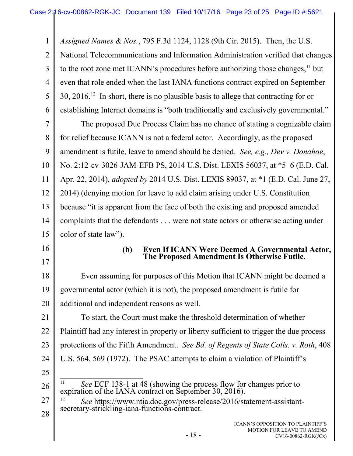1 2 3 4 5 6 7 8 9 10 11 12 *Assigned Names & Nos.*, 795 F.3d 1124, 1128 (9th Cir. 2015). Then, the U.S. National Telecommunications and Information Administration verified that changes to the root zone met ICANN's procedures before authorizing those changes, $<sup>11</sup>$  $<sup>11</sup>$  $<sup>11</sup>$  but</sup> even that role ended when the last IANA functions contract expired on September 30, 2016.[12](#page-22-3) In short, there is no plausible basis to allege that contracting for or establishing Internet domains is "both traditionally and exclusively governmental." The proposed Due Process Claim has no chance of stating a cognizable claim for relief because ICANN is not a federal actor. Accordingly, as the proposed amendment is futile, leave to amend should be denied. *See, e.g., Dev v. Donahoe*, No. 2:12-cv-3026-JAM-EFB PS, 2014 U.S. Dist. LEXIS 56037, at \*5–6 (E.D. Cal. Apr. 22, 2014), *adopted by* 2014 U.S. Dist. LEXIS 89037, at \*1 (E.D. Cal. June 27, 2014) (denying motion for leave to add claim arising under U.S. Constitution

13 14 15 because "it is apparent from the face of both the existing and proposed amended complaints that the defendants . . . were not state actors or otherwise acting under color of state law").

- 16
- 17

#### <span id="page-22-1"></span><span id="page-22-0"></span>**(b) Even If ICANN Were Deemed A Governmental Actor, The Proposed Amendment Is Otherwise Futile.**

18 19 20 Even assuming for purposes of this Motion that ICANN might be deemed a governmental actor (which it is not), the proposed amendment is futile for additional and independent reasons as well.

21 22 23 24 To start, the Court must make the threshold determination of whether Plaintiff had any interest in property or liberty sufficient to trigger the due process protections of the Fifth Amendment. *See Bd. of Regents of State Colls. v. Roth*, 408 U.S. 564, 569 (1972). The PSAC attempts to claim a violation of Plaintiff's

<span id="page-22-2"></span>25

<sup>&</sup>lt;sup>11</sup> *See* ECF 138-1 at 48 (showing the process flow for changes prior to expiration of the IANA contract on September 30, 2016).

<span id="page-22-3"></span><sup>27</sup> 28 <sup>12</sup> *See* https://www.ntia.doc.gov/press-release/2016/statement-assistant-<br>secretary-strickling-iana-functions-contract.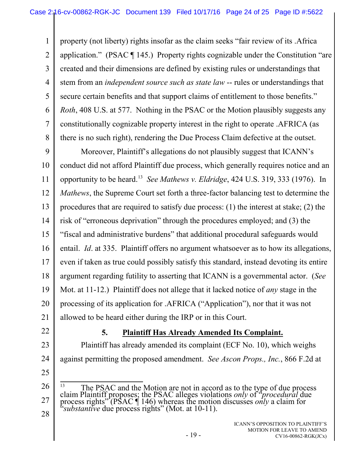1 2 3 4 5 6 7 8 property (not liberty) rights insofar as the claim seeks "fair review of its .Africa application." (PSAC ¶ 145.) Property rights cognizable under the Constitution "are created and their dimensions are defined by existing rules or understandings that stem from an *independent source such as state law* -- rules or understandings that secure certain benefits and that support claims of entitlement to those benefits." *Roth*, 408 U.S. at 577. Nothing in the PSAC or the Motion plausibly suggests any constitutionally cognizable property interest in the right to operate .AFRICA (as there is no such right), rendering the Due Process Claim defective at the outset.

<span id="page-23-2"></span><span id="page-23-1"></span>9 10 11 12 13 14 15 16 17 18 19 20 21 Moreover, Plaintiff's allegations do not plausibly suggest that ICANN's conduct did not afford Plaintiff due process, which generally requires notice and an opportunity to be heard.[13](#page-23-3) *See Mathews v. Eldridge*, 424 U.S. 319, 333 (1976). In *Mathews*, the Supreme Court set forth a three-factor balancing test to determine the procedures that are required to satisfy due process: (1) the interest at stake; (2) the risk of "erroneous deprivation" through the procedures employed; and (3) the "fiscal and administrative burdens" that additional procedural safeguards would entail. *Id*. at 335. Plaintiff offers no argument whatsoever as to how its allegations, even if taken as true could possibly satisfy this standard, instead devoting its entire argument regarding futility to asserting that ICANN is a governmental actor. (*See* Mot. at 11-12.) Plaintiff does not allege that it lacked notice of *any* stage in the processing of its application for .AFRICA ("Application"), nor that it was not allowed to be heard either during the IRP or in this Court.

22

### <span id="page-23-0"></span>**5. Plaintiff Has Already Amended Its Complaint.**

23 24 Plaintiff has already amended its complaint (ECF No. 10), which weighs against permitting the proposed amendment. *See Ascon Props., Inc.*, 866 F.2d at

25 26

<span id="page-23-3"></span>27

<sup>13</sup> The PSAC and the Motion are not in accord as to the type of due process claim Plaintiff proposes; the PSAC alleges violations *only* of "*procedural* due process rights" (PSAC ¶ 146) whereas the motion discusses *only* a claim for "*substantive* due process rights" (Mot. at 10-11).